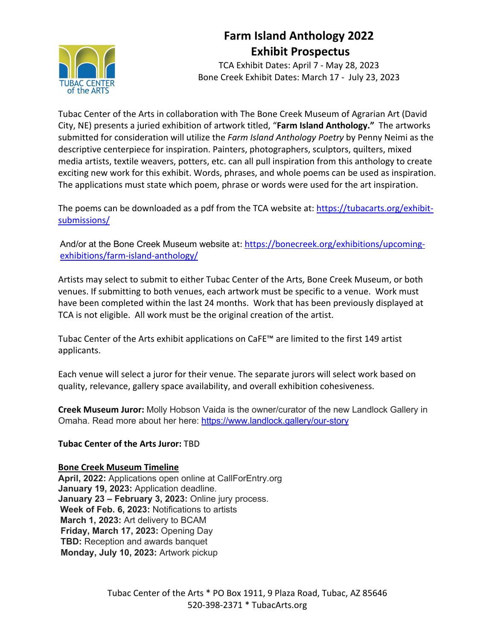# of the ART!

## **Farm Island Anthology 2022 Exhibit Prospectus**

TCA Exhibit Dates: April 7 - May 28, 2023 Bone Creek Exhibit Dates: March 17 - July 23, 2023

Tubac Center of the Arts in collaboration with The Bone Creek Museum of Agrarian Art (David City, NE) presents a juried exhibition of artwork titled, "**Farm Island Anthology."** The artworks submitted for consideration will utilize the *Farm Island Anthology Poetry* by Penny Neimi as the descriptive centerpiece for inspiration. Painters, photographers, sculptors, quilters, mixed media artists, textile weavers, potters, etc. can all pull inspiration from this anthology to create exciting new work for this exhibit. Words, phrases, and whole poems can be used as inspiration. The applications must state which poem, phrase or words were used for the art inspiration.

The poems can be downloaded as a pdf from the TCA website at: https://tubacarts.org/exhibitsubmissions/

And/or at the Bone Creek Museum website at: https://bonecreek.org/exhibitions/upcomingexhibitions/farm-island-anthology/

Artists may select to submit to either Tubac Center of the Arts, Bone Creek Museum, or both venues. If submitting to both venues, each artwork must be specific to a venue. Work must have been completed within the last 24 months. Work that has been previously displayed at TCA is not eligible. All work must be the original creation of the artist.

Tubac Center of the Arts exhibit applications on CaFE™ are limited to the first 149 artist applicants.

Each venue will select a juror for their venue. The separate jurors will select work based on quality, relevance, gallery space availability, and overall exhibition cohesiveness.

**Creek Museum Juror:** Molly Hobson Vaida is the owner/curator of the new Landlock Gallery in Omaha. Read more about her here: https://www.landlock.gallery/our-story

#### **Tubac Center of the Arts Juror:** TBD

#### **Bone Creek Museum Timeline**

**April, 2022:** Applications open online at CallForEntry.org **January 19, 2023:** Application deadline. **January 23 – February 3, 2023:** Online jury process. **Week of Feb. 6, 2023:** Notifications to artists **March 1, 2023:** Art delivery to BCAM **Friday, March 17, 2023:** Opening Day **TBD:** Reception and awards banquet **Monday, July 10, 2023:** Artwork pickup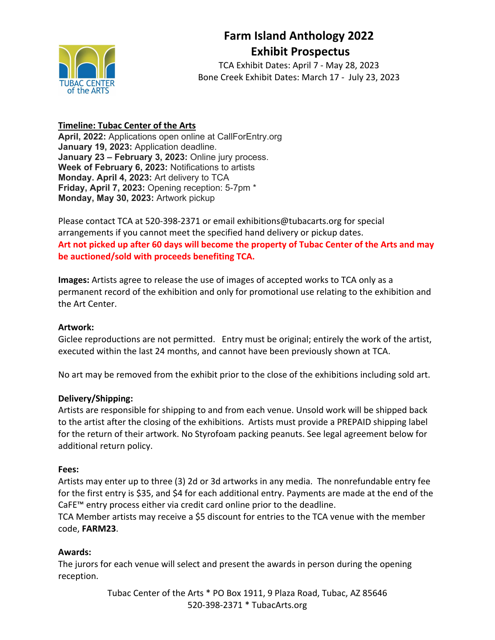# of the ARTS

## **Farm Island Anthology 2022 Exhibit Prospectus**

TCA Exhibit Dates: April 7 - May 28, 2023 Bone Creek Exhibit Dates: March 17 - July 23, 2023

### **Timeline: Tubac Center of the Arts**

**April, 2022:** Applications open online at CallForEntry.org **January 19, 2023:** Application deadline. **January 23 – February 3, 2023:** Online jury process. **Week of February 6, 2023:** Notifications to artists **Monday. April 4, 2023:** Art delivery to TCA **Friday, April 7, 2023:** Opening reception: 5-7pm \* **Monday, May 30, 2023:** Artwork pickup

Please contact TCA at 520-398-2371 or email exhibitions@tubacarts.org for special arrangements if you cannot meet the specified hand delivery or pickup dates. **Art not picked up after 60 days will become the property of Tubac Center of the Arts and may be auctioned/sold with proceeds benefiting TCA.**

**Images:** Artists agree to release the use of images of accepted works to TCA only as a permanent record of the exhibition and only for promotional use relating to the exhibition and the Art Center.

#### **Artwork:**

Giclee reproductions are not permitted. Entry must be original; entirely the work of the artist, executed within the last 24 months, and cannot have been previously shown at TCA.

No art may be removed from the exhibit prior to the close of the exhibitions including sold art.

#### **Delivery/Shipping:**

Artists are responsible for shipping to and from each venue. Unsold work will be shipped back to the artist after the closing of the exhibitions. Artists must provide a PREPAID shipping label for the return of their artwork. No Styrofoam packing peanuts. See legal agreement below for additional return policy.

#### **Fees:**

Artists may enter up to three (3) 2d or 3d artworks in any media. The nonrefundable entry fee for the first entry is \$35, and \$4 for each additional entry. Payments are made at the end of the CaFE™ entry process either via credit card online prior to the deadline.

TCA Member artists may receive a \$5 discount for entries to the TCA venue with the member code, **FARM23**.

### **Awards:**

The jurors for each venue will select and present the awards in person during the opening reception.

> Tubac Center of the Arts \* PO Box 1911, 9 Plaza Road, Tubac, AZ 85646 520-398-2371 \* TubacArts.org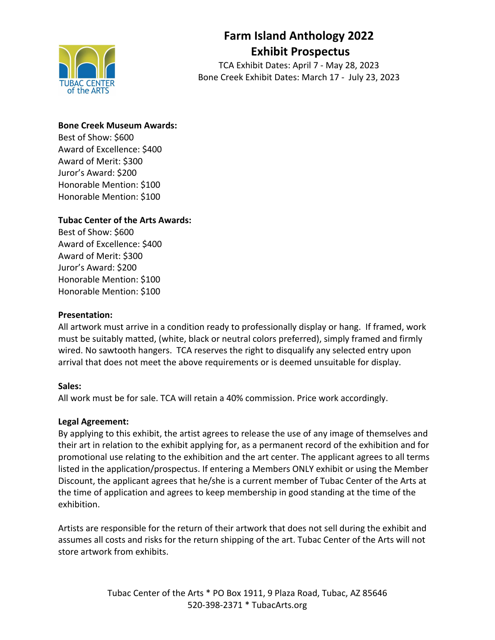

## **Farm Island Anthology 2022 Exhibit Prospectus**

TCA Exhibit Dates: April 7 - May 28, 2023 Bone Creek Exhibit Dates: March 17 - July 23, 2023

#### **Bone Creek Museum Awards:**

Best of Show: \$600 Award of Excellence: \$400 Award of Merit: \$300 Juror's Award: \$200 Honorable Mention: \$100 Honorable Mention: \$100

### **Tubac Center of the Arts Awards:**

Best of Show: \$600 Award of Excellence: \$400 Award of Merit: \$300 Juror's Award: \$200 Honorable Mention: \$100 Honorable Mention: \$100

#### **Presentation:**

All artwork must arrive in a condition ready to professionally display or hang. If framed, work must be suitably matted, (white, black or neutral colors preferred), simply framed and firmly wired. No sawtooth hangers. TCA reserves the right to disqualify any selected entry upon arrival that does not meet the above requirements or is deemed unsuitable for display.

#### **Sales:**

All work must be for sale. TCA will retain a 40% commission. Price work accordingly.

#### **Legal Agreement:**

By applying to this exhibit, the artist agrees to release the use of any image of themselves and their art in relation to the exhibit applying for, as a permanent record of the exhibition and for promotional use relating to the exhibition and the art center. The applicant agrees to all terms listed in the application/prospectus. If entering a Members ONLY exhibit or using the Member Discount, the applicant agrees that he/she is a current member of Tubac Center of the Arts at the time of application and agrees to keep membership in good standing at the time of the exhibition.

Artists are responsible for the return of their artwork that does not sell during the exhibit and assumes all costs and risks for the return shipping of the art. Tubac Center of the Arts will not store artwork from exhibits.